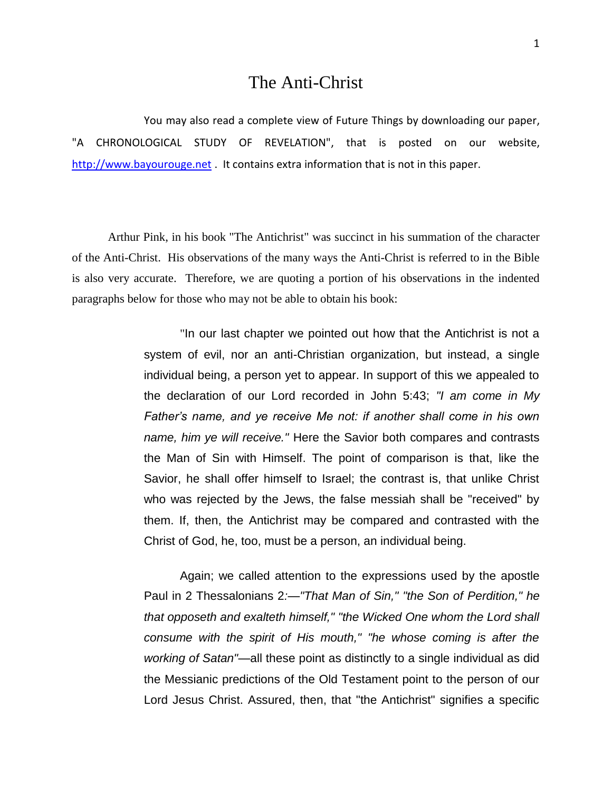## The Anti-Christ

You may also read a complete view of Future Things by downloading our paper, "A CHRONOLOGICAL STUDY OF REVELATION", that is posted on our website, [http://www.bayourouge.net](http://www.bayourouge.net/) . It contains extra information that is not in this paper.

Arthur Pink, in his book "The Antichrist" was succinct in his summation of the character of the Anti-Christ. His observations of the many ways the Anti-Christ is referred to in the Bible is also very accurate. Therefore, we are quoting a portion of his observations in the indented paragraphs below for those who may not be able to obtain his book:

> "In our last chapter we pointed out how that the Antichrist is not a system of evil, nor an anti-Christian organization, but instead, a single individual being, a person yet to appear. In support of this we appealed to the declaration of our Lord recorded in John 5:43; *"I am come in My Father's name, and ye receive Me not: if another shall come in his own name, him ye will receive."* Here the Savior both compares and contrasts the Man of Sin with Himself. The point of comparison is that, like the Savior, he shall offer himself to Israel; the contrast is, that unlike Christ who was rejected by the Jews, the false messiah shall be "received" by them. If, then, the Antichrist may be compared and contrasted with the Christ of God, he, too, must be a person, an individual being.

> Again; we called attention to the expressions used by the apostle Paul in 2 Thessalonians 2*:—"That Man of Sin," "the Son of Perdition," he that opposeth and exalteth himself," "the Wicked One whom the Lord shall consume with the spirit of His mouth," "he whose coming is after the working of Satan"*—all these point as distinctly to a single individual as did the Messianic predictions of the Old Testament point to the person of our Lord Jesus Christ. Assured, then, that "the Antichrist" signifies a specific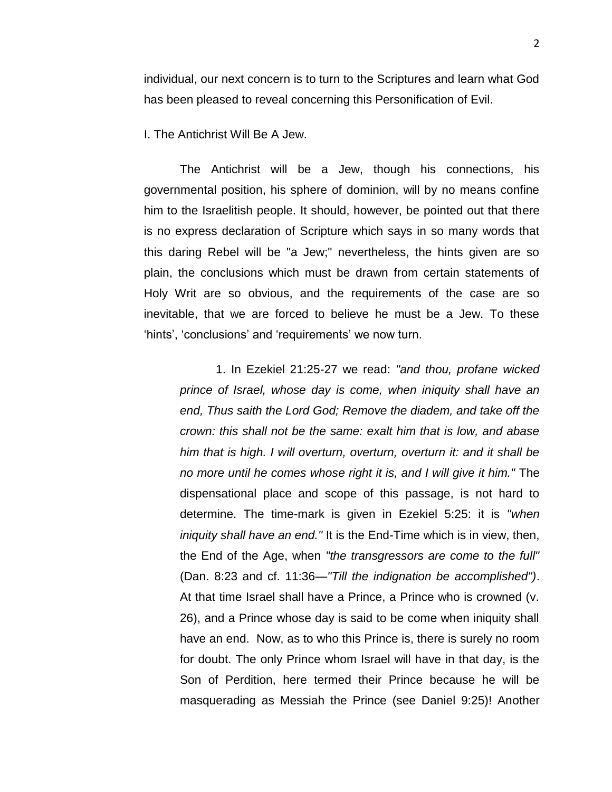individual, our next concern is to turn to the Scriptures and learn what God has been pleased to reveal concerning this Personification of Evil.

I. The Antichrist Will Be A Jew.

The Antichrist will be a Jew, though his connections, his governmental position, his sphere of dominion, will by no means confine him to the Israelitish people. It should, however, be pointed out that there is no express declaration of Scripture which says in so many words that this daring Rebel will be "a Jew;" nevertheless, the hints given are so plain, the conclusions which must be drawn from certain statements of Holy Writ are so obvious, and the requirements of the case are so inevitable, that we are forced to believe he must be a Jew. To these 'hints', 'conclusions' and 'requirements' we now turn.

1. In Ezekiel 21:25-27 we read: *"and thou, profane wicked prince of Israel, whose day is come, when iniquity shall have an end, Thus saith the Lord God; Remove the diadem, and take off the crown: this shall not be the same: exalt him that is low, and abase him that is high. I will overturn, overturn, overturn it: and it shall be no more until he comes whose right it is, and I will give it him."* The dispensational place and scope of this passage, is not hard to determine. The time-mark is given in Ezekiel 5:25: it is *"when iniquity shall have an end."* It is the End-Time which is in view, then, the End of the Age, when *"the transgressors are come to the full"* (Dan. 8:23 and cf. 11:36*—"Till the indignation be accomplished")*. At that time Israel shall have a Prince, a Prince who is crowned (v. 26), and a Prince whose day is said to be come when iniquity shall have an end. Now, as to who this Prince is, there is surely no room for doubt. The only Prince whom Israel will have in that day, is the Son of Perdition, here termed their Prince because he will be masquerading as Messiah the Prince (see Daniel 9:25)! Another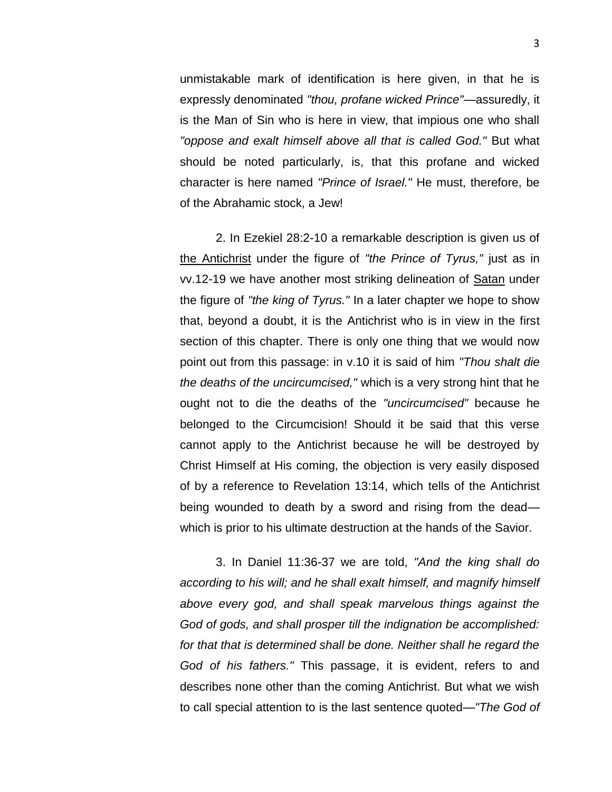unmistakable mark of identification is here given, in that he is expressly denominated *"thou, profane wicked Prince"*—assuredly, it is the Man of Sin who is here in view, that impious one who shall *"oppose and exalt himself above all that is called God."* But what should be noted particularly, is, that this profane and wicked character is here named *"Prince of Israel."* He must, therefore, be of the Abrahamic stock, a Jew!

2. In Ezekiel 28:2-10 a remarkable description is given us of the Antichrist under the figure of *"the Prince of Tyrus,"* just as in vv.12-19 we have another most striking delineation of Satan under the figure of *"the king of Tyrus."* In a later chapter we hope to show that, beyond a doubt, it is the Antichrist who is in view in the first section of this chapter. There is only one thing that we would now point out from this passage: in v.10 it is said of him *"Thou shalt die the deaths of the uncircumcised,"* which is a very strong hint that he ought not to die the deaths of the *"uncircumcised"* because he belonged to the Circumcision! Should it be said that this verse cannot apply to the Antichrist because he will be destroyed by Christ Himself at His coming, the objection is very easily disposed of by a reference to Revelation 13:14, which tells of the Antichrist being wounded to death by a sword and rising from the dead which is prior to his ultimate destruction at the hands of the Savior.

3. In Daniel 11:36-37 we are told, *"And the king shall do according to his will; and he shall exalt himself, and magnify himself above every god, and shall speak marvelous things against the God of gods, and shall prosper till the indignation be accomplished:*  for that that is determined shall be done. Neither shall he regard the *God of his fathers."* This passage, it is evident, refers to and describes none other than the coming Antichrist. But what we wish to call special attention to is the last sentence quoted*—"The God of*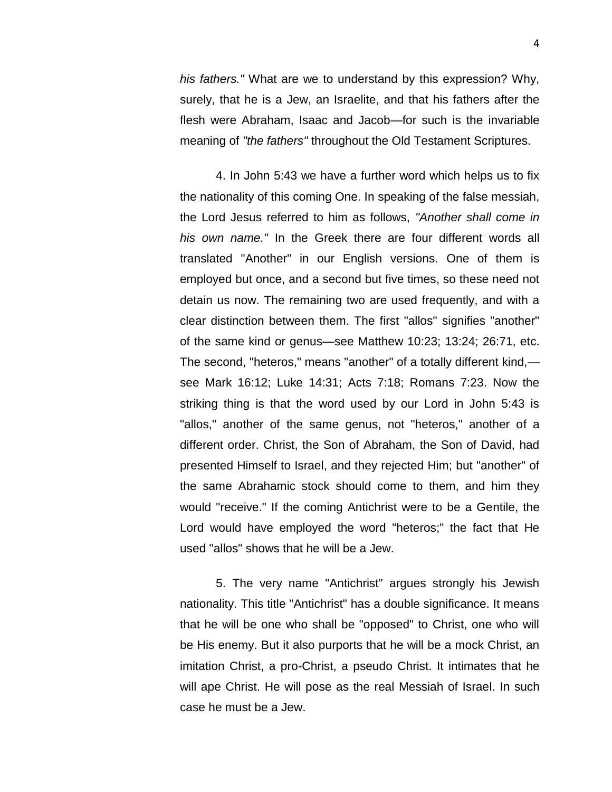*his fathers."* What are we to understand by this expression? Why, surely, that he is a Jew, an Israelite, and that his fathers after the flesh were Abraham, Isaac and Jacob—for such is the invariable meaning of *"the fathers"* throughout the Old Testament Scriptures.

4. In John 5:43 we have a further word which helps us to fix the nationality of this coming One. In speaking of the false messiah, the Lord Jesus referred to him as follows, *"Another shall come in his own name."* In the Greek there are four different words all translated "Another" in our English versions. One of them is employed but once, and a second but five times, so these need not detain us now. The remaining two are used frequently, and with a clear distinction between them. The first "allos" signifies "another" of the same kind or genus—see Matthew 10:23; 13:24; 26:71, etc. The second, "heteros," means "another" of a totally different kind, see Mark 16:12; Luke 14:31; Acts 7:18; Romans 7:23. Now the striking thing is that the word used by our Lord in John 5:43 is "allos," another of the same genus, not "heteros," another of a different order. Christ, the Son of Abraham, the Son of David, had presented Himself to Israel, and they rejected Him; but "another" of the same Abrahamic stock should come to them, and him they would "receive." If the coming Antichrist were to be a Gentile, the Lord would have employed the word "heteros;" the fact that He used "allos" shows that he will be a Jew.

5. The very name "Antichrist" argues strongly his Jewish nationality. This title "Antichrist" has a double significance. It means that he will be one who shall be "opposed" to Christ, one who will be His enemy. But it also purports that he will be a mock Christ, an imitation Christ, a pro-Christ, a pseudo Christ. It intimates that he will ape Christ. He will pose as the real Messiah of Israel. In such case he must be a Jew.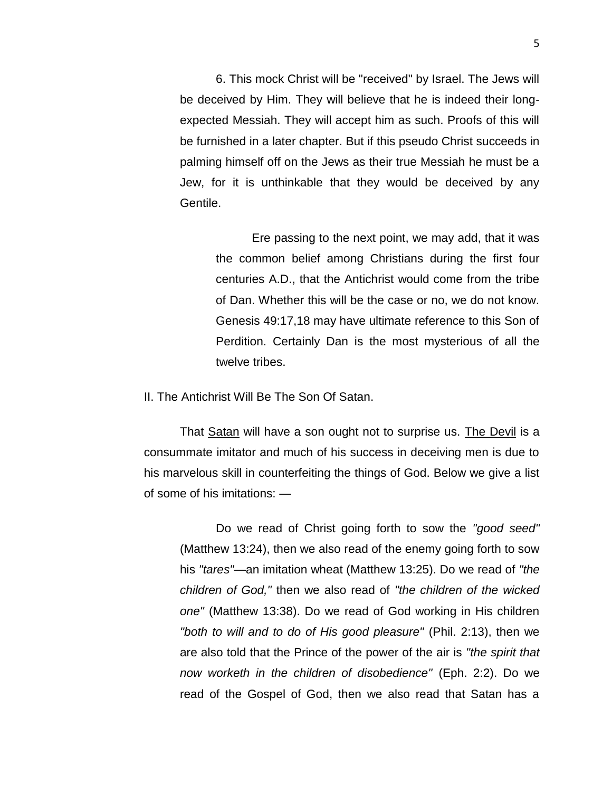6. This mock Christ will be "received" by Israel. The Jews will be deceived by Him. They will believe that he is indeed their longexpected Messiah. They will accept him as such. Proofs of this will be furnished in a later chapter. But if this pseudo Christ succeeds in palming himself off on the Jews as their true Messiah he must be a Jew, for it is unthinkable that they would be deceived by any Gentile.

Ere passing to the next point, we may add, that it was the common belief among Christians during the first four centuries A.D., that the Antichrist would come from the tribe of Dan. Whether this will be the case or no, we do not know. Genesis 49:17,18 may have ultimate reference to this Son of Perdition. Certainly Dan is the most mysterious of all the twelve tribes.

II. The Antichrist Will Be The Son Of Satan.

That Satan will have a son ought not to surprise us. The Devil is a consummate imitator and much of his success in deceiving men is due to his marvelous skill in counterfeiting the things of God. Below we give a list of some of his imitations: —

Do we read of Christ going forth to sow the *"good seed"* (Matthew 13:24), then we also read of the enemy going forth to sow his *"tares"—*an imitation wheat (Matthew 13:25). Do we read of *"the children of God,"* then we also read of *"the children of the wicked one"* (Matthew 13:38). Do we read of God working in His children *"both to will and to do of His good pleasure"* (Phil. 2:13), then we are also told that the Prince of the power of the air is *"the spirit that now worketh in the children of disobedience"* (Eph. 2:2). Do we read of the Gospel of God, then we also read that Satan has a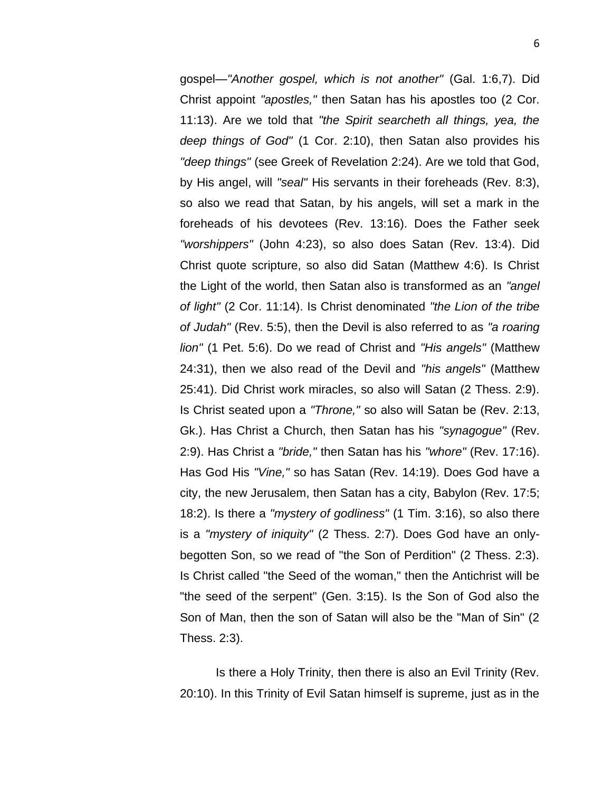gospel*—"Another gospel, which is not another"* (Gal. 1:6,7). Did Christ appoint *"apostles,"* then Satan has his apostles too (2 Cor. 11:13). Are we told that *"the Spirit searcheth all things, yea, the deep things of God"* (1 Cor. 2:10), then Satan also provides his *"deep things"* (see Greek of Revelation 2:24). Are we told that God, by His angel, will *"seal"* His servants in their foreheads (Rev. 8:3), so also we read that Satan, by his angels, will set a mark in the foreheads of his devotees (Rev. 13:16). Does the Father seek *"worshippers"* (John 4:23), so also does Satan (Rev. 13:4). Did Christ quote scripture, so also did Satan (Matthew 4:6). Is Christ the Light of the world, then Satan also is transformed as an *"angel of light"* (2 Cor. 11:14). Is Christ denominated *"the Lion of the tribe of Judah"* (Rev. 5:5), then the Devil is also referred to as *"a roaring lion"* (1 Pet. 5:6). Do we read of Christ and *"His angels"* (Matthew 24:31), then we also read of the Devil and *"his angels"* (Matthew 25:41). Did Christ work miracles, so also will Satan (2 Thess. 2:9). Is Christ seated upon a *"Throne,"* so also will Satan be (Rev. 2:13, Gk.). Has Christ a Church, then Satan has his *"synagogue"* (Rev. 2:9). Has Christ a *"bride,"* then Satan has his *"whore"* (Rev. 17:16). Has God His *"Vine,"* so has Satan (Rev. 14:19). Does God have a city, the new Jerusalem, then Satan has a city, Babylon (Rev. 17:5; 18:2). Is there a *"mystery of godliness"* (1 Tim. 3:16), so also there is a *"mystery of iniquity"* (2 Thess. 2:7). Does God have an onlybegotten Son, so we read of "the Son of Perdition" (2 Thess. 2:3). Is Christ called "the Seed of the woman," then the Antichrist will be "the seed of the serpent" (Gen. 3:15). Is the Son of God also the Son of Man, then the son of Satan will also be the "Man of Sin" (2 Thess. 2:3).

Is there a Holy Trinity, then there is also an Evil Trinity (Rev. 20:10). In this Trinity of Evil Satan himself is supreme, just as in the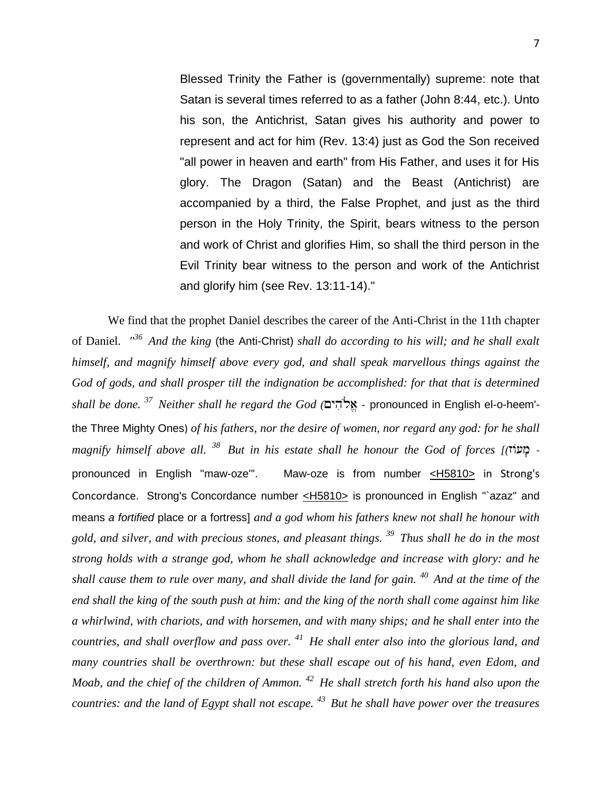Blessed Trinity the Father is (governmentally) supreme: note that Satan is several times referred to as a father (John 8:44, etc.). Unto his son, the Antichrist, Satan gives his authority and power to represent and act for him (Rev. 13:4) just as God the Son received "all power in heaven and earth" from His Father, and uses it for His glory. The Dragon (Satan) and the Beast (Antichrist) are accompanied by a third, the False Prophet, and just as the third person in the Holy Trinity, the Spirit, bears witness to the person and work of Christ and glorifies Him, so shall the third person in the Evil Trinity bear witness to the person and work of the Antichrist and glorify him (see Rev. 13:11-14)."

We find that the prophet Daniel describes the career of the Anti-Christ in the 11th chapter of Daniel. *" <sup>36</sup>And the king* (the Anti-Christ) *shall do according to his will; and he shall exalt himself, and magnify himself above every god, and shall speak marvellous things against the*  God of gods, and shall prosper till the indignation be accomplished: for that that is determined *shall be done. <sup>37</sup>Neither shall he regard the God (* - pronounced in English el-o-heem' the Three Mighty Ones) *of his fathers, nor the desire of women, nor regard any god: for he shall magnify himself above all. <sup>38</sup>But in his estate shall he honour the God of forces [(* pronounced in English "maw-oze'". Maw-oze is from number [<H5810>](http://www.crossbooks.com/book.asp?strongs=H5810) in Strong's Concordance. Strong's Concordance number [<H5810>](http://www.crossbooks.com/book.asp?strongs=H5810) is pronounced in English "`azaz" and means *a fortified* place or a fortress] *and a god whom his fathers knew not shall he honour with gold, and silver, and with precious stones, and pleasant things. <sup>39</sup>Thus shall he do in the most strong holds with a strange god, whom he shall acknowledge and increase with glory: and he shall cause them to rule over many, and shall divide the land for gain. <sup>40</sup>And at the time of the end shall the king of the south push at him: and the king of the north shall come against him like a whirlwind, with chariots, and with horsemen, and with many ships; and he shall enter into the countries, and shall overflow and pass over. <sup>41</sup>He shall enter also into the glorious land, and many countries shall be overthrown: but these shall escape out of his hand, even Edom, and Moab, and the chief of the children of Ammon. <sup>42</sup>He shall stretch forth his hand also upon the countries: and the land of Egypt shall not escape. <sup>43</sup>But he shall have power over the treasures*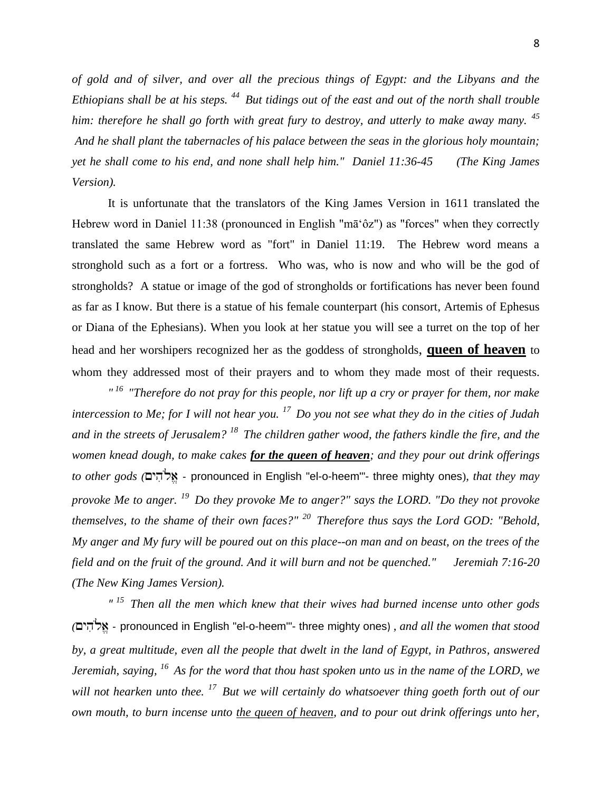*of gold and of silver, and over all the precious things of Egypt: and the Libyans and the Ethiopians shall be at his steps. <sup>44</sup>But tidings out of the east and out of the north shall trouble him: therefore he shall go forth with great fury to destroy, and utterly to make away many. <sup>45</sup> And he shall plant the tabernacles of his palace between the seas in the glorious holy mountain; yet he shall come to his end, and none shall help him." Daniel 11:36-45 (The King James Version).*

It is unfortunate that the translators of the King James Version in 1611 translated the Hebrew word in Daniel 11:38 (pronounced in English "mā'ôz") as "forces" when they correctly translated the same Hebrew word as "fort" in Daniel 11:19. The Hebrew word means a stronghold such as a fort or a fortress. Who was, who is now and who will be the god of strongholds? A statue or image of the god of strongholds or fortifications has never been found as far as I know. But there is a statue of his female counterpart (his consort, Artemis of Ephesus or Diana of the Ephesians). When you look at her statue you will see a turret on the top of her head and her worshipers recognized her as the goddess of strongholds, **queen of heaven** to whom they addressed most of their prayers and to whom they made most of their requests.

*" <sup>16</sup>"Therefore do not pray for this people, nor lift up a cry or prayer for them, nor make intercession to Me; for I will not hear you. <sup>17</sup>Do you not see what they do in the cities of Judah and in the streets of Jerusalem? <sup>18</sup>The children gather wood, the fathers kindle the fire, and the women knead dough, to make cakes for the queen of heaven; and they pour out drink offerings to other gods (* - pronounced in English "el-o-heem'"- three mighty ones)*, that they may provoke Me to anger. <sup>19</sup>Do they provoke Me to anger?" says the LORD. "Do they not provoke themselves, to the shame of their own faces?" <sup>20</sup>Therefore thus says the Lord GOD: "Behold, My anger and My fury will be poured out on this place--on man and on beast, on the trees of the field and on the fruit of the ground. And it will burn and not be quenched." Jeremiah 7:16-20 (The New King James Version).*

*" <sup>15</sup>Then all the men which knew that their wives had burned incense unto other gods (* - pronounced in English "el-o-heem'"- three mighty ones) *, and all the women that stood by, a great multitude, even all the people that dwelt in the land of Egypt, in Pathros, answered Jeremiah, saying, <sup>16</sup>As for the word that thou hast spoken unto us in the name of the LORD, we will not hearken unto thee. <sup>17</sup>But we will certainly do whatsoever thing goeth forth out of our own mouth, to burn incense unto the queen of heaven, and to pour out drink offerings unto her,*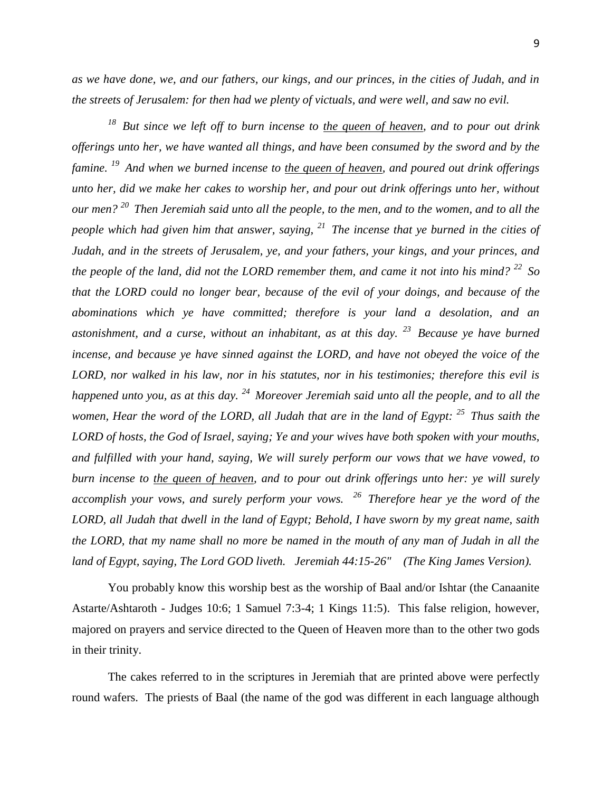*as we have done, we, and our fathers, our kings, and our princes, in the cities of Judah, and in the streets of Jerusalem: for then had we plenty of victuals, and were well, and saw no evil.* 

*<sup>18</sup>But since we left off to burn incense to the queen of heaven, and to pour out drink offerings unto her, we have wanted all things, and have been consumed by the sword and by the famine. <sup>19</sup>And when we burned incense to the queen of heaven, and poured out drink offerings unto her, did we make her cakes to worship her, and pour out drink offerings unto her, without our men? <sup>20</sup>Then Jeremiah said unto all the people, to the men, and to the women, and to all the people which had given him that answer, saying, <sup>21</sup>The incense that ye burned in the cities of Judah, and in the streets of Jerusalem, ye, and your fathers, your kings, and your princes, and the people of the land, did not the LORD remember them, and came it not into his mind? <sup>22</sup>So that the LORD could no longer bear, because of the evil of your doings, and because of the abominations which ye have committed; therefore is your land a desolation, and an astonishment, and a curse, without an inhabitant, as at this day. <sup>23</sup>Because ye have burned incense, and because ye have sinned against the LORD, and have not obeyed the voice of the LORD, nor walked in his law, nor in his statutes, nor in his testimonies; therefore this evil is happened unto you, as at this day. <sup>24</sup>Moreover Jeremiah said unto all the people, and to all the women, Hear the word of the LORD, all Judah that are in the land of Egypt: <sup>25</sup>Thus saith the LORD of hosts, the God of Israel, saying; Ye and your wives have both spoken with your mouths, and fulfilled with your hand, saying, We will surely perform our vows that we have vowed, to burn incense to the queen of heaven, and to pour out drink offerings unto her: ye will surely accomplish your vows, and surely perform your vows. <sup>26</sup>Therefore hear ye the word of the LORD, all Judah that dwell in the land of Egypt; Behold, I have sworn by my great name, saith the LORD, that my name shall no more be named in the mouth of any man of Judah in all the land of Egypt, saying, The Lord GOD liveth. Jeremiah 44:15-26" (The King James Version).*

You probably know this worship best as the worship of Baal and/or Ishtar (the Canaanite Astarte/Ashtaroth - Judges 10:6; 1 Samuel 7:3-4; 1 Kings 11:5). This false religion, however, majored on prayers and service directed to the Queen of Heaven more than to the other two gods in their trinity.

The cakes referred to in the scriptures in Jeremiah that are printed above were perfectly round wafers. The priests of Baal (the name of the god was different in each language although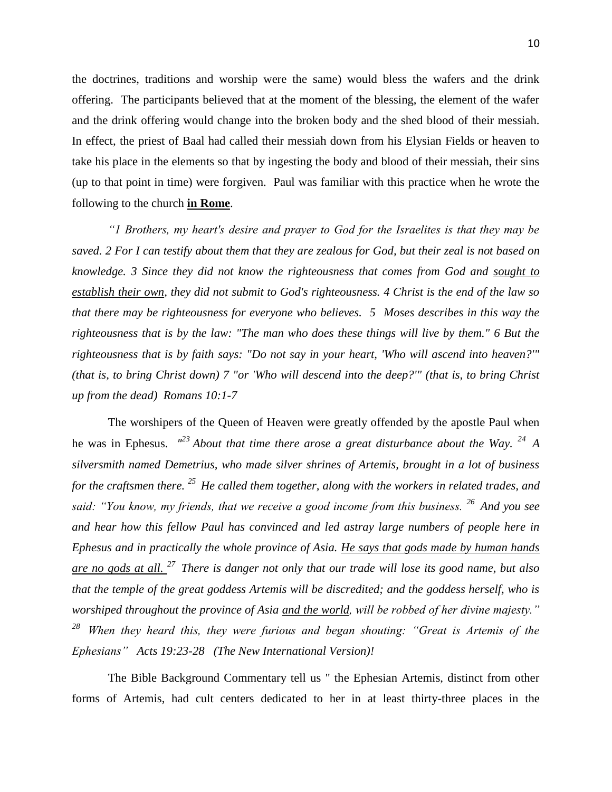the doctrines, traditions and worship were the same) would bless the wafers and the drink offering. The participants believed that at the moment of the blessing, the element of the wafer and the drink offering would change into the broken body and the shed blood of their messiah. In effect, the priest of Baal had called their messiah down from his Elysian Fields or heaven to take his place in the elements so that by ingesting the body and blood of their messiah, their sins (up to that point in time) were forgiven. Paul was familiar with this practice when he wrote the following to the church **in Rome**.

*"1 Brothers, my heart's desire and prayer to God for the Israelites is that they may be saved. 2 For I can testify about them that they are zealous for God, but their zeal is not based on knowledge. 3 Since they did not know the righteousness that comes from God and sought to establish their own, they did not submit to God's righteousness. 4 Christ is the end of the law so that there may be righteousness for everyone who believes. 5 Moses describes in this way the righteousness that is by the law: "The man who does these things will live by them." 6 But the righteousness that is by faith says: "Do not say in your heart, 'Who will ascend into heaven?'" (that is, to bring Christ down) 7 "or 'Who will descend into the deep?'" (that is, to bring Christ up from the dead) Romans 10:1-7*

The worshipers of the Queen of Heaven were greatly offended by the apostle Paul when he was in Ephesus. *" <sup>23</sup> About that time there arose a great disturbance about the Way. <sup>24</sup>A silversmith named Demetrius, who made silver shrines of Artemis, brought in a lot of business for the craftsmen there. <sup>25</sup>He called them together, along with the workers in related trades, and said: "You know, my friends, that we receive a good income from this business. <sup>26</sup>And you see and hear how this fellow Paul has convinced and led astray large numbers of people here in Ephesus and in practically the whole province of Asia. He says that gods made by human hands are no gods at all. <sup>27</sup>There is danger not only that our trade will lose its good name, but also that the temple of the great goddess Artemis will be discredited; and the goddess herself, who is worshiped throughout the province of Asia and the world, will be robbed of her divine majesty." <sup>28</sup>When they heard this, they were furious and began shouting: "Great is Artemis of the Ephesians" Acts 19:23-28 (The New International Version)!*

The Bible Background Commentary tell us " the Ephesian Artemis, distinct from other forms of Artemis, had cult centers dedicated to her in at least thirty-three places in the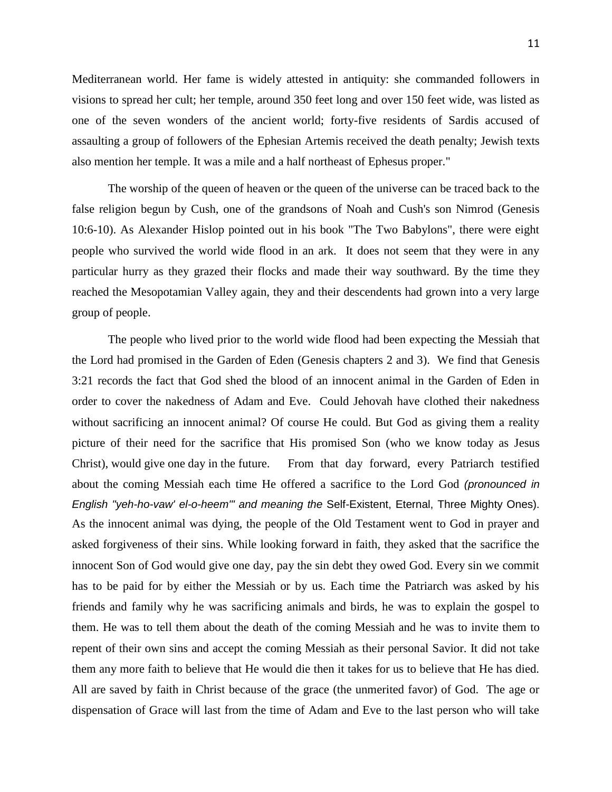Mediterranean world. Her fame is widely attested in antiquity: she commanded followers in visions to spread her cult; her temple, around 350 feet long and over 150 feet wide, was listed as one of the seven wonders of the ancient world; forty-five residents of Sardis accused of assaulting a group of followers of the Ephesian Artemis received the death penalty; Jewish texts also mention her temple. It was a mile and a half northeast of Ephesus proper."

The worship of the queen of heaven or the queen of the universe can be traced back to the false religion begun by Cush, one of the grandsons of Noah and Cush's son Nimrod (Genesis 10:6-10). As Alexander Hislop pointed out in his book "The Two Babylons", there were eight people who survived the world wide flood in an ark. It does not seem that they were in any particular hurry as they grazed their flocks and made their way southward. By the time they reached the Mesopotamian Valley again, they and their descendents had grown into a very large group of people.

The people who lived prior to the world wide flood had been expecting the Messiah that the Lord had promised in the Garden of Eden (Genesis chapters 2 and 3). We find that Genesis 3:21 records the fact that God shed the blood of an innocent animal in the Garden of Eden in order to cover the nakedness of Adam and Eve. Could Jehovah have clothed their nakedness without sacrificing an innocent animal? Of course He could. But God as giving them a reality picture of their need for the sacrifice that His promised Son (who we know today as Jesus Christ), would give one day in the future. From that day forward, every Patriarch testified about the coming Messiah each time He offered a sacrifice to the Lord God *(pronounced in English "yeh-ho-vaw' el-o-heem'" and meaning the* Self*-*Existent, Eternal, Three Mighty Ones). As the innocent animal was dying, the people of the Old Testament went to God in prayer and asked forgiveness of their sins. While looking forward in faith, they asked that the sacrifice the innocent Son of God would give one day, pay the sin debt they owed God. Every sin we commit has to be paid for by either the Messiah or by us. Each time the Patriarch was asked by his friends and family why he was sacrificing animals and birds, he was to explain the gospel to them. He was to tell them about the death of the coming Messiah and he was to invite them to repent of their own sins and accept the coming Messiah as their personal Savior. It did not take them any more faith to believe that He would die then it takes for us to believe that He has died. All are saved by faith in Christ because of the grace (the unmerited favor) of God. The age or dispensation of Grace will last from the time of Adam and Eve to the last person who will take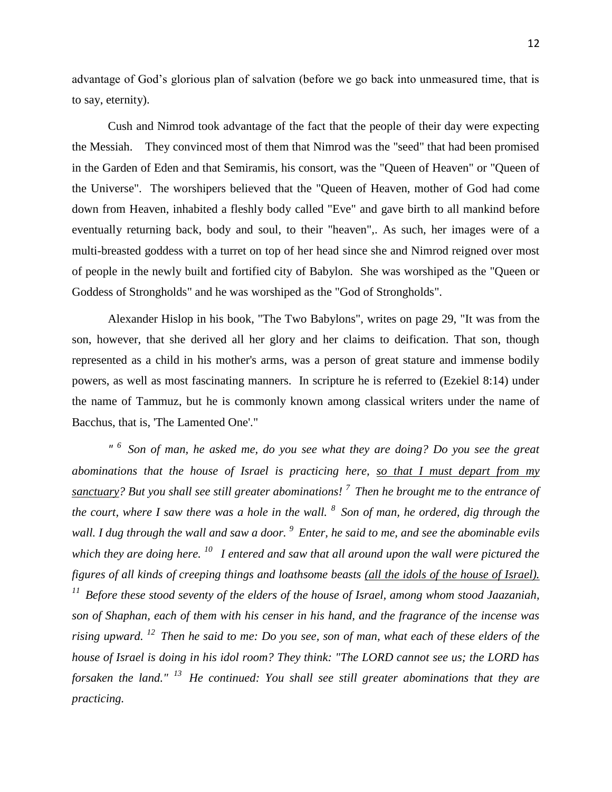advantage of God's glorious plan of salvation (before we go back into unmeasured time, that is to say, eternity).

Cush and Nimrod took advantage of the fact that the people of their day were expecting the Messiah. They convinced most of them that Nimrod was the "seed" that had been promised in the Garden of Eden and that Semiramis, his consort, was the "Queen of Heaven" or "Queen of the Universe". The worshipers believed that the "Queen of Heaven, mother of God had come down from Heaven, inhabited a fleshly body called "Eve" and gave birth to all mankind before eventually returning back, body and soul, to their "heaven",. As such, her images were of a multi-breasted goddess with a turret on top of her head since she and Nimrod reigned over most of people in the newly built and fortified city of Babylon. She was worshiped as the "Queen or Goddess of Strongholds" and he was worshiped as the "God of Strongholds".

Alexander Hislop in his book, "The Two Babylons", writes on page 29, "It was from the son, however, that she derived all her glory and her claims to deification. That son, though represented as a child in his mother's arms, was a person of great stature and immense bodily powers, as well as most fascinating manners. In scripture he is referred to (Ezekiel 8:14) under the name of Tammuz, but he is commonly known among classical writers under the name of Bacchus, that is, 'The Lamented One'."

*" <sup>6</sup>Son of man, he asked me, do you see what they are doing? Do you see the great abominations that the house of Israel is practicing here, so that I must depart from my sanctuary? But you shall see still greater abominations! <sup>7</sup>Then he brought me to the entrance of the court, where I saw there was a hole in the wall. <sup>8</sup>Son of man, he ordered, dig through the wall. I dug through the wall and saw a door. <sup>9</sup>Enter, he said to me, and see the abominable evils which they are doing here. <sup>10</sup>I entered and saw that all around upon the wall were pictured the figures of all kinds of creeping things and loathsome beasts (all the idols of the house of Israel). <sup>11</sup>Before these stood seventy of the elders of the house of Israel, among whom stood Jaazaniah, son of Shaphan, each of them with his censer in his hand, and the fragrance of the incense was rising upward. <sup>12</sup>Then he said to me: Do you see, son of man, what each of these elders of the house of Israel is doing in his idol room? They think: "The LORD cannot see us; the LORD has forsaken the land." <sup>13</sup>He continued: You shall see still greater abominations that they are practicing.*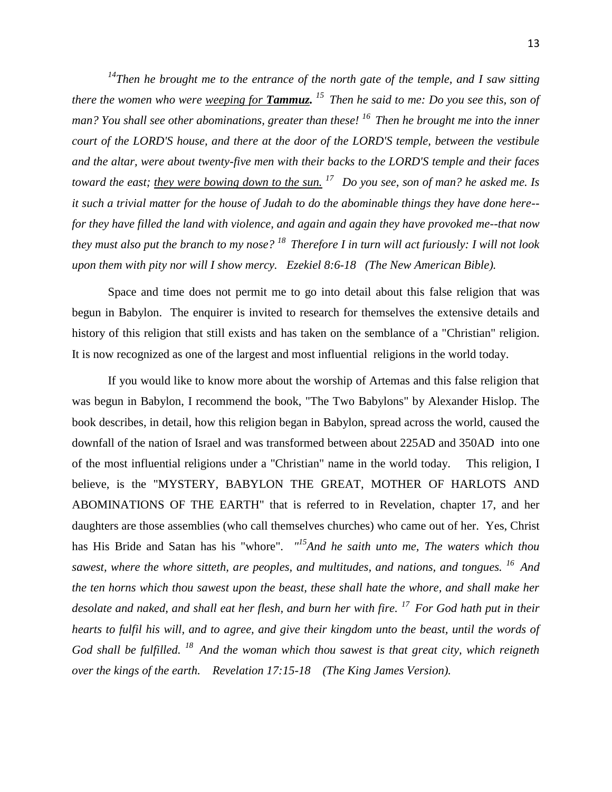*<sup>14</sup>Then he brought me to the entrance of the north gate of the temple, and I saw sitting there the women who were weeping for Tammuz. <sup>15</sup>Then he said to me: Do you see this, son of man? You shall see other abominations, greater than these! <sup>16</sup>Then he brought me into the inner court of the LORD'S house, and there at the door of the LORD'S temple, between the vestibule and the altar, were about twenty-five men with their backs to the LORD'S temple and their faces toward the east; they were bowing down to the sun. <sup>17</sup>Do you see, son of man? he asked me. Is it such a trivial matter for the house of Judah to do the abominable things they have done here- for they have filled the land with violence, and again and again they have provoked me--that now they must also put the branch to my nose? <sup>18</sup>Therefore I in turn will act furiously: I will not look upon them with pity nor will I show mercy. Ezekiel 8:6-18 (The New American Bible).*

Space and time does not permit me to go into detail about this false religion that was begun in Babylon. The enquirer is invited to research for themselves the extensive details and history of this religion that still exists and has taken on the semblance of a "Christian" religion. It is now recognized as one of the largest and most influential religions in the world today.

If you would like to know more about the worship of Artemas and this false religion that was begun in Babylon, I recommend the book, "The Two Babylons" by Alexander Hislop. The book describes, in detail, how this religion began in Babylon, spread across the world, caused the downfall of the nation of Israel and was transformed between about 225AD and 350AD into one of the most influential religions under a "Christian" name in the world today. This religion, I believe, is the "MYSTERY, BABYLON THE GREAT, MOTHER OF HARLOTS AND ABOMINATIONS OF THE EARTH" that is referred to in Revelation, chapter 17, and her daughters are those assemblies (who call themselves churches) who came out of her. Yes, Christ has His Bride and Satan has his "whore". *" <sup>15</sup>And he saith unto me, The waters which thou sawest, where the whore sitteth, are peoples, and multitudes, and nations, and tongues. <sup>16</sup>And the ten horns which thou sawest upon the beast, these shall hate the whore, and shall make her desolate and naked, and shall eat her flesh, and burn her with fire. <sup>17</sup>For God hath put in their hearts to fulfil his will, and to agree, and give their kingdom unto the beast, until the words of God shall be fulfilled. <sup>18</sup>And the woman which thou sawest is that great city, which reigneth over the kings of the earth. Revelation 17:15-18 (The King James Version).*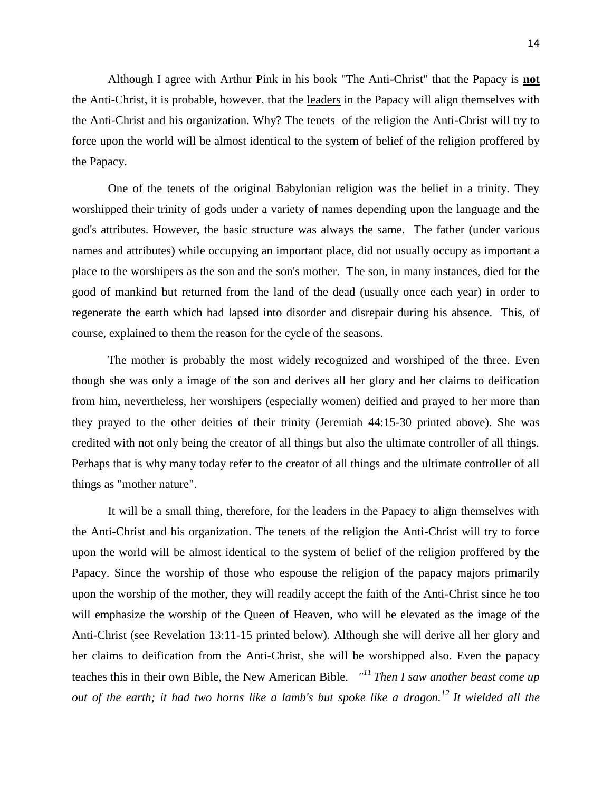14

Although I agree with Arthur Pink in his book "The Anti-Christ" that the Papacy is **not** the Anti-Christ, it is probable, however, that the leaders in the Papacy will align themselves with the Anti-Christ and his organization. Why? The tenets of the religion the Anti-Christ will try to force upon the world will be almost identical to the system of belief of the religion proffered by the Papacy.

One of the tenets of the original Babylonian religion was the belief in a trinity. They worshipped their trinity of gods under a variety of names depending upon the language and the god's attributes. However, the basic structure was always the same. The father (under various names and attributes) while occupying an important place, did not usually occupy as important a place to the worshipers as the son and the son's mother. The son, in many instances, died for the good of mankind but returned from the land of the dead (usually once each year) in order to regenerate the earth which had lapsed into disorder and disrepair during his absence. This, of course, explained to them the reason for the cycle of the seasons.

The mother is probably the most widely recognized and worshiped of the three. Even though she was only a image of the son and derives all her glory and her claims to deification from him, nevertheless, her worshipers (especially women) deified and prayed to her more than they prayed to the other deities of their trinity (Jeremiah 44:15-30 printed above). She was credited with not only being the creator of all things but also the ultimate controller of all things. Perhaps that is why many today refer to the creator of all things and the ultimate controller of all things as "mother nature".

It will be a small thing, therefore, for the leaders in the Papacy to align themselves with the Anti-Christ and his organization. The tenets of the religion the Anti-Christ will try to force upon the world will be almost identical to the system of belief of the religion proffered by the Papacy. Since the worship of those who espouse the religion of the papacy majors primarily upon the worship of the mother, they will readily accept the faith of the Anti-Christ since he too will emphasize the worship of the Queen of Heaven, who will be elevated as the image of the Anti-Christ (see Revelation 13:11-15 printed below). Although she will derive all her glory and her claims to deification from the Anti-Christ, she will be worshipped also. Even the papacy teaches this in their own Bible, the New American Bible. *" <sup>11</sup>Then I saw another beast come up out of the earth; it had two horns like a lamb's but spoke like a dragon.<sup>12</sup>It wielded all the*